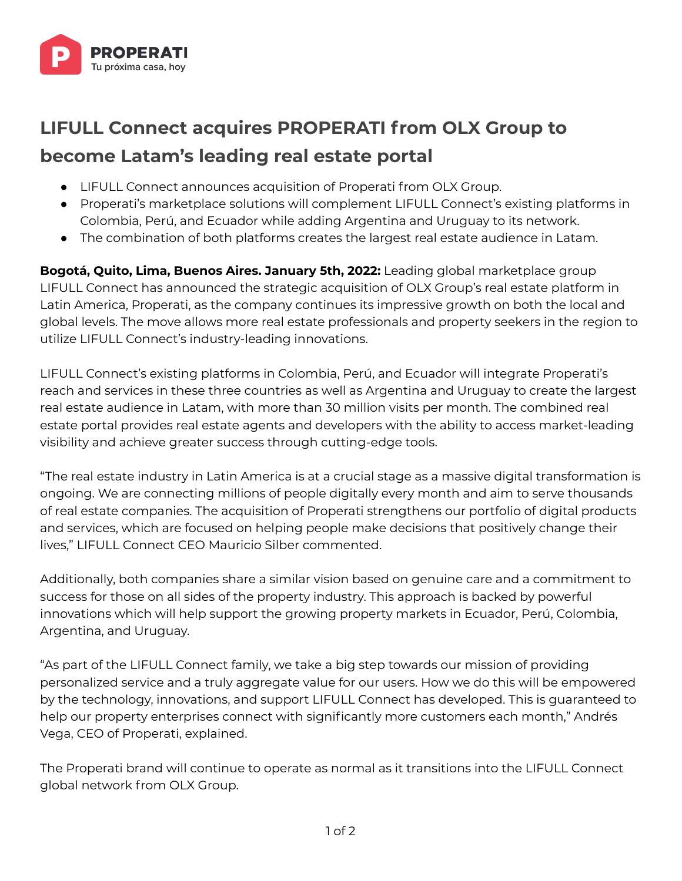

## **LIFULL Connect acquires PROPERATI from OLX Group to become Latam's leading real estate portal**

- LIFULL Connect announces acquisition of Properati from OLX Group.
- Properati's marketplace solutions will complement LIFULL Connect's existing platforms in Colombia, Perú, and Ecuador while adding Argentina and Uruguay to its network.
- The combination of both platforms creates the largest real estate audience in Latam.

**Bogotá, Quito, Lima, Buenos Aires. January 5th, 2022:** Leading global marketplace group LIFULL Connect has announced the strategic acquisition of OLX Group's real estate platform in Latin America, Properati, as the company continues its impressive growth on both the local and global levels. The move allows more real estate professionals and property seekers in the region to utilize LIFULL Connect's industry-leading innovations.

LIFULL Connect's existing platforms in Colombia, Perú, and Ecuador will integrate Properati's reach and services in these three countries as well as Argentina and Uruguay to create the largest real estate audience in Latam, with more than 30 million visits per month. The combined real estate portal provides real estate agents and developers with the ability to access market-leading visibility and achieve greater success through cutting-edge tools.

"The real estate industry in Latin America is at a crucial stage as a massive digital transformation is ongoing. We are connecting millions of people digitally every month and aim to serve thousands of real estate companies. The acquisition of Properati strengthens our portfolio of digital products and services, which are focused on helping people make decisions that positively change their lives," LIFULL Connect CEO Mauricio Silber commented.

Additionally, both companies share a similar vision based on genuine care and a commitment to success for those on all sides of the property industry. This approach is backed by powerful innovations which will help support the growing property markets in Ecuador, Perú, Colombia, Argentina, and Uruguay.

"As part of the LIFULL Connect family, we take a big step towards our mission of providing personalized service and a truly aggregate value for our users. How we do this will be empowered by the technology, innovations, and support LIFULL Connect has developed. This is guaranteed to help our property enterprises connect with significantly more customers each month," Andrés Vega, CEO of Properati, explained.

The Properati brand will continue to operate as normal as it transitions into the LIFULL Connect global network from OLX Group.